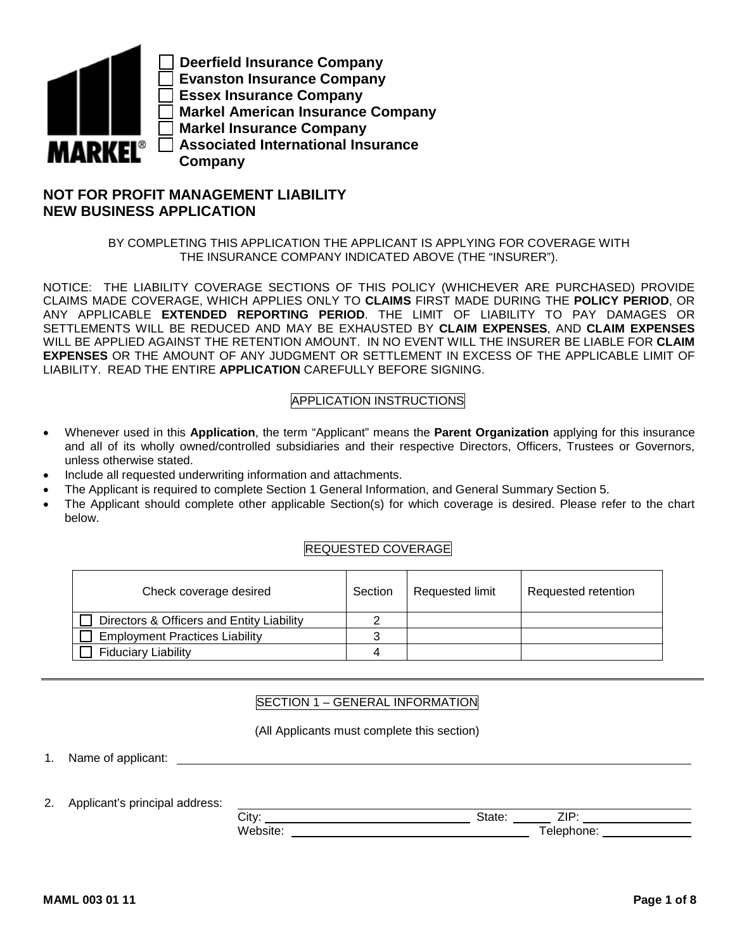

**Deerfield Insurance Company Evanston Insurance Company Essex Insurance Company Markel American Insurance Company Markel Insurance Company Associated International Insurance Company** 

# **NOT FOR PROFIT MANAGEMENT LIABILITY NEW BUSINESS APPLICATION**

BY COMPLETING THIS APPLICATION THE APPLICANT IS APPLYING FOR COVERAGE WITH THE INSURANCE COMPANY INDICATED ABOVE (THE "INSURER").

NOTICE: THE LIABILITY COVERAGE SECTIONS OF THIS POLICY (WHICHEVER ARE PURCHASED) PROVIDE CLAIMS MADE COVERAGE, WHICH APPLIES ONLY TO **CLAIMS** FIRST MADE DURING THE **POLICY PERIOD**, OR ANY APPLICABLE **EXTENDED REPORTING PERIOD**. THE LIMIT OF LIABILITY TO PAY DAMAGES OR SETTLEMENTS WILL BE REDUCED AND MAY BE EXHAUSTED BY **CLAIM EXPENSES**, AND **CLAIM EXPENSES** WILL BE APPLIED AGAINST THE RETENTION AMOUNT. IN NO EVENT WILL THE INSURER BE LIABLE FOR **CLAIM EXPENSES** OR THE AMOUNT OF ANY JUDGMENT OR SETTLEMENT IN EXCESS OF THE APPLICABLE LIMIT OF LIABILITY. READ THE ENTIRE **APPLICATION** CAREFULLY BEFORE SIGNING.

## APPLICATION INSTRUCTIONS

- Whenever used in this **Application**, the term "Applicant" means the **Parent Organization** applying for this insurance and all of its wholly owned/controlled subsidiaries and their respective Directors, Officers, Trustees or Governors, unless otherwise stated.
- Include all requested underwriting information and attachments.
- The Applicant is required to complete Section 1 General Information, and General Summary Section 5.
- The Applicant should complete other applicable Section(s) for which coverage is desired. Please refer to the chart below.

## REQUESTED COVERAGE

| Check coverage desired                    | Section | Requested limit | Requested retention |
|-------------------------------------------|---------|-----------------|---------------------|
| Directors & Officers and Entity Liability |         |                 |                     |
| <b>Employment Practices Liability</b>     |         |                 |                     |
| <b>Fiduciary Liability</b>                |         |                 |                     |

## SECTION 1 – GENERAL INFORMATION

(All Applicants must complete this section)

1. Name of applicant:

2. Applicant's principal address:

| ~~        |  |
|-----------|--|
| `itv<br>ັ |  |
| ۱۸        |  |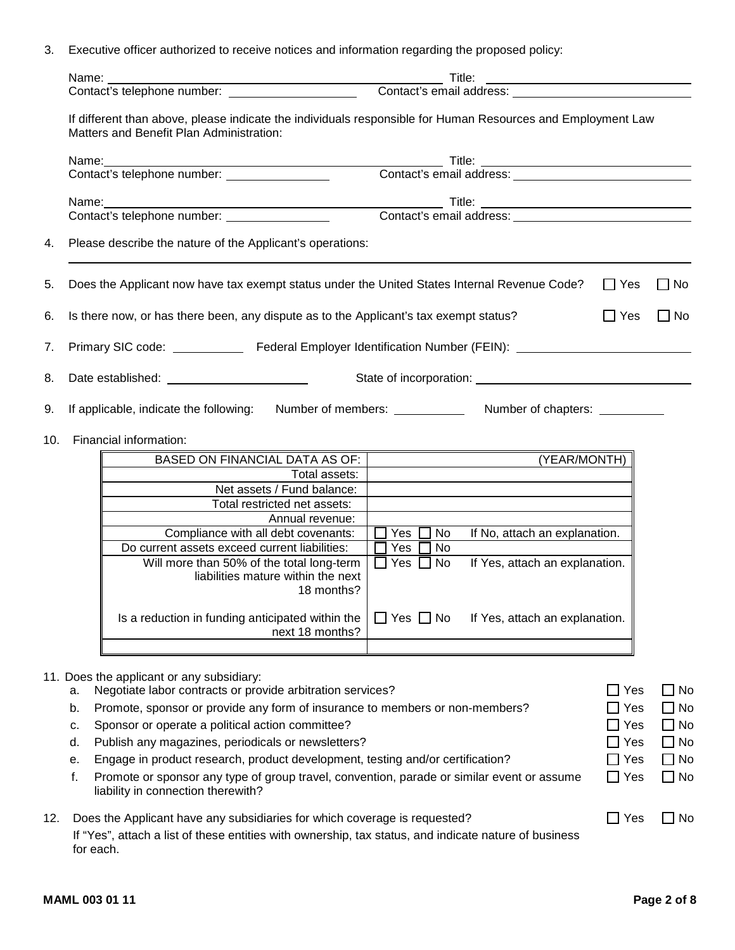3. Executive officer authorized to receive notices and information regarding the proposed policy:

|     | Name:     |                                                                                                                                                                                                                               | Title:                                                   |               |              |  |  |  |  |  |  |
|-----|-----------|-------------------------------------------------------------------------------------------------------------------------------------------------------------------------------------------------------------------------------|----------------------------------------------------------|---------------|--------------|--|--|--|--|--|--|
|     |           |                                                                                                                                                                                                                               |                                                          |               |              |  |  |  |  |  |  |
|     |           | If different than above, please indicate the individuals responsible for Human Resources and Employment Law<br>Matters and Benefit Plan Administration:                                                                       |                                                          |               |              |  |  |  |  |  |  |
|     |           |                                                                                                                                                                                                                               |                                                          |               |              |  |  |  |  |  |  |
|     |           | Name: Title: Title: Title: Title: Title: Title: Title: Title: Contact's email address:                                                                                                                                        |                                                          |               |              |  |  |  |  |  |  |
|     |           |                                                                                                                                                                                                                               |                                                          |               |              |  |  |  |  |  |  |
|     |           | Name: Title: Title: Title: Title: Title: Title: Title: Title: Contact's email address: Title: Contact's email address: Title: Contact's email address: Title: Contact's email address: Title: Title: Contact's email address: |                                                          |               |              |  |  |  |  |  |  |
|     |           |                                                                                                                                                                                                                               |                                                          |               |              |  |  |  |  |  |  |
| 4.  |           | Please describe the nature of the Applicant's operations:                                                                                                                                                                     |                                                          |               |              |  |  |  |  |  |  |
| 5.  |           | Does the Applicant now have tax exempt status under the United States Internal Revenue Code?                                                                                                                                  |                                                          | $\Box$ Yes    | $\Box$ No    |  |  |  |  |  |  |
| 6.  |           | Is there now, or has there been, any dispute as to the Applicant's tax exempt status?                                                                                                                                         |                                                          | $\Box$ Yes    | $\Box$ No    |  |  |  |  |  |  |
| 7.  |           |                                                                                                                                                                                                                               |                                                          |               |              |  |  |  |  |  |  |
| 8.  |           |                                                                                                                                                                                                                               |                                                          |               |              |  |  |  |  |  |  |
| 9.  |           | If applicable, indicate the following:                                                                                                                                                                                        | Number of chapters: __________                           |               |              |  |  |  |  |  |  |
|     |           |                                                                                                                                                                                                                               |                                                          |               |              |  |  |  |  |  |  |
| 10. |           | Financial information:                                                                                                                                                                                                        |                                                          |               |              |  |  |  |  |  |  |
|     |           | BASED ON FINANCIAL DATA AS OF:                                                                                                                                                                                                | (YEAR/MONTH)                                             |               |              |  |  |  |  |  |  |
|     |           | Total assets:                                                                                                                                                                                                                 |                                                          |               |              |  |  |  |  |  |  |
|     |           | Net assets / Fund balance:                                                                                                                                                                                                    |                                                          |               |              |  |  |  |  |  |  |
|     |           | Total restricted net assets:                                                                                                                                                                                                  |                                                          |               |              |  |  |  |  |  |  |
|     |           | Annual revenue:                                                                                                                                                                                                               |                                                          |               |              |  |  |  |  |  |  |
|     |           | Compliance with all debt covenants:                                                                                                                                                                                           | $\Box$ Yes $\Box$<br>No<br>If No, attach an explanation. |               |              |  |  |  |  |  |  |
|     |           | Do current assets exceed current liabilities:                                                                                                                                                                                 | $\Box$ Yes $\Box$<br>No                                  |               |              |  |  |  |  |  |  |
|     |           | Will more than 50% of the total long-term                                                                                                                                                                                     | If Yes, attach an explanation.<br>$\Box$ Yes $\Box$ No   |               |              |  |  |  |  |  |  |
|     |           | liabilities mature within the next                                                                                                                                                                                            |                                                          |               |              |  |  |  |  |  |  |
|     |           | 18 months?                                                                                                                                                                                                                    |                                                          |               |              |  |  |  |  |  |  |
|     |           | Is a reduction in funding anticipated within the                                                                                                                                                                              | $\Box$ Yes $\Box$ No<br>If Yes, attach an explanation.   |               |              |  |  |  |  |  |  |
|     |           | next 18 months?                                                                                                                                                                                                               |                                                          |               |              |  |  |  |  |  |  |
|     |           | 11. Does the applicant or any subsidiary:                                                                                                                                                                                     |                                                          |               |              |  |  |  |  |  |  |
|     | а.        | Negotiate labor contracts or provide arbitration services?                                                                                                                                                                    |                                                          | $\Box$ Yes    | $\square$ No |  |  |  |  |  |  |
|     | b.        | Promote, sponsor or provide any form of insurance to members or non-members?                                                                                                                                                  |                                                          | $\square$ Yes | $\square$ No |  |  |  |  |  |  |
|     | c.        | Sponsor or operate a political action committee?                                                                                                                                                                              |                                                          | $\Box$ Yes    | $\Box$ No    |  |  |  |  |  |  |
|     | d.        | Publish any magazines, periodicals or newsletters?                                                                                                                                                                            |                                                          | $\square$ Yes | $\square$ No |  |  |  |  |  |  |
|     | е.        | Engage in product research, product development, testing and/or certification?                                                                                                                                                |                                                          | $\Box$ Yes    | $\Box$ No    |  |  |  |  |  |  |
|     | f.        | Promote or sponsor any type of group travel, convention, parade or similar event or assume<br>liability in connection therewith?                                                                                              |                                                          | $\Box$ Yes    | $\Box$ No    |  |  |  |  |  |  |
| 12. |           | Does the Applicant have any subsidiaries for which coverage is requested?                                                                                                                                                     |                                                          | $\Box$ Yes    | $\Box$ No    |  |  |  |  |  |  |
|     | for each. | If "Yes", attach a list of these entities with ownership, tax status, and indicate nature of business                                                                                                                         |                                                          |               |              |  |  |  |  |  |  |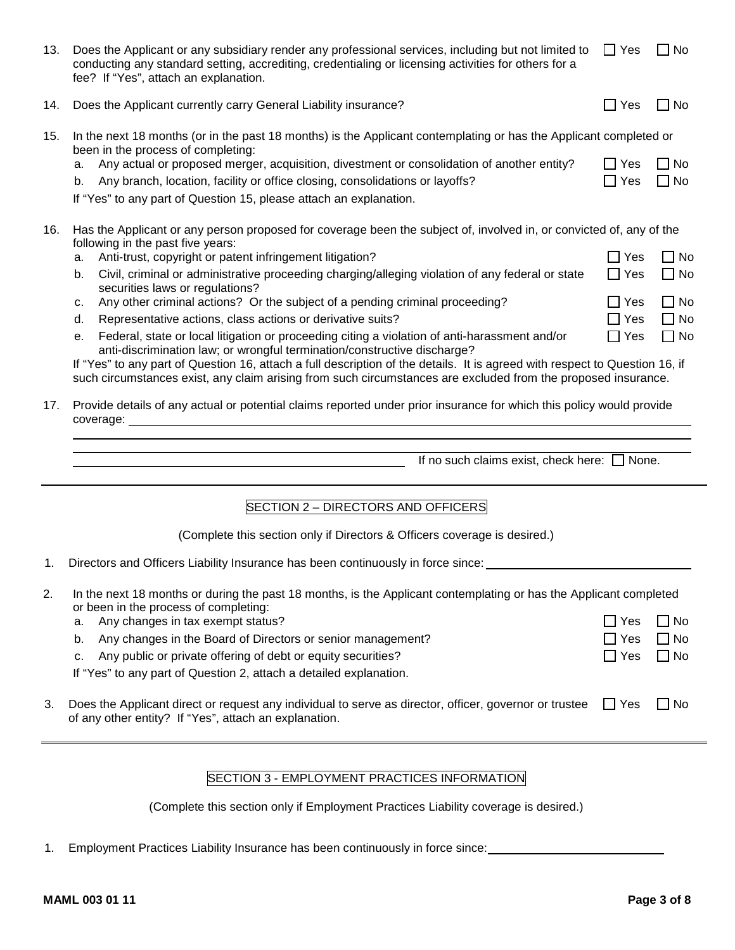| 13. | Does the Applicant or any subsidiary render any professional services, including but not limited to $\Box$ Yes<br>conducting any standard setting, accrediting, credentialing or licensing activities for others for a<br>fee? If "Yes", attach an explanation.                                                                                                                                                                                                                                                             |                                                      | $\Box$ No                                           |
|-----|-----------------------------------------------------------------------------------------------------------------------------------------------------------------------------------------------------------------------------------------------------------------------------------------------------------------------------------------------------------------------------------------------------------------------------------------------------------------------------------------------------------------------------|------------------------------------------------------|-----------------------------------------------------|
| 14. | Does the Applicant currently carry General Liability insurance?                                                                                                                                                                                                                                                                                                                                                                                                                                                             | $\Box$ Yes                                           | $\Box$ No                                           |
| 15. | In the next 18 months (or in the past 18 months) is the Applicant contemplating or has the Applicant completed or<br>been in the process of completing:<br>Any actual or proposed merger, acquisition, divestment or consolidation of another entity?<br>a.<br>Any branch, location, facility or office closing, consolidations or layoffs?<br>b.                                                                                                                                                                           | $\Box$ Yes<br>$\Box$ Yes                             | $\Box$ No<br>$\Box$ No                              |
|     | If "Yes" to any part of Question 15, please attach an explanation.                                                                                                                                                                                                                                                                                                                                                                                                                                                          |                                                      |                                                     |
| 16. | Has the Applicant or any person proposed for coverage been the subject of, involved in, or convicted of, any of the<br>following in the past five years:<br>Anti-trust, copyright or patent infringement litigation?<br>a.<br>Civil, criminal or administrative proceeding charging/alleging violation of any federal or state<br>b.<br>securities laws or regulations?<br>Any other criminal actions? Or the subject of a pending criminal proceeding?<br>c.<br>Representative actions, class actions or derivative suits? | $\Box$ Yes<br>$\Box$ Yes<br>$\Box$ Yes<br>$\Box$ Yes | $\Box$ No<br>$\Box$ No<br>$\Box$ No<br>$\square$ No |
|     | d.<br>Federal, state or local litigation or proceeding citing a violation of anti-harassment and/or<br>е.<br>anti-discrimination law; or wrongful termination/constructive discharge?<br>If "Yes" to any part of Question 16, attach a full description of the details. It is agreed with respect to Question 16, if<br>such circumstances exist, any claim arising from such circumstances are excluded from the proposed insurance.                                                                                       | $\Box$ Yes                                           | $\Box$ No                                           |
| 17. | Provide details of any actual or potential claims reported under prior insurance for which this policy would provide<br>coverage:<br>If no such claims exist, check here: $\Box$ None.                                                                                                                                                                                                                                                                                                                                      |                                                      |                                                     |
|     | SECTION 2 - DIRECTORS AND OFFICERS                                                                                                                                                                                                                                                                                                                                                                                                                                                                                          |                                                      |                                                     |
|     | (Complete this section only if Directors & Officers coverage is desired.)                                                                                                                                                                                                                                                                                                                                                                                                                                                   |                                                      |                                                     |
| 1.  | Directors and Officers Liability Insurance has been continuously in force since:                                                                                                                                                                                                                                                                                                                                                                                                                                            |                                                      |                                                     |
| 2.  | In the next 18 months or during the past 18 months, is the Applicant contemplating or has the Applicant completed<br>or been in the process of completing:<br>Any changes in tax exempt status?<br>a.<br>Any changes in the Board of Directors or senior management?<br>b.<br>Any public or private offering of debt or equity securities?<br>c.<br>If "Yes" to any part of Question 2, attach a detailed explanation.                                                                                                      | $\exists$ Yes<br>] Yes<br>$\Box$ Yes                 | $\Box$ No<br>$\Box$ No<br>$\Box$ No                 |
| 3.  | Does the Applicant direct or request any individual to serve as director, officer, governor or trustee<br>of any other entity? If "Yes", attach an explanation.                                                                                                                                                                                                                                                                                                                                                             | $\Box$ Yes                                           | $\Box$ No                                           |
|     |                                                                                                                                                                                                                                                                                                                                                                                                                                                                                                                             |                                                      |                                                     |

# SECTION 3 - EMPLOYMENT PRACTICES INFORMATION

(Complete this section only if Employment Practices Liability coverage is desired.)

1. Employment Practices Liability Insurance has been continuously in force since: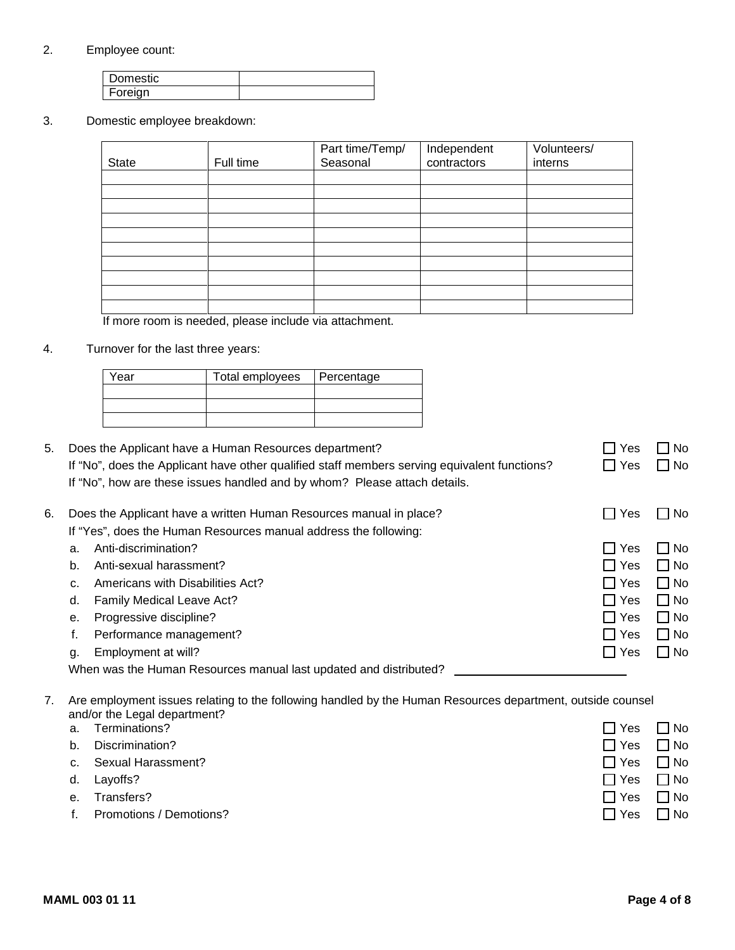## 2. Employee count:

| Domestic |  |
|----------|--|
| Foreign  |  |

3. Domestic employee breakdown:

| <b>State</b> | Full time | Part time/Temp/<br>Seasonal | Independent<br>contractors | Volunteers/<br>interns |
|--------------|-----------|-----------------------------|----------------------------|------------------------|
|              |           |                             |                            |                        |
|              |           |                             |                            |                        |
|              |           |                             |                            |                        |
|              |           |                             |                            |                        |
|              |           |                             |                            |                        |
|              |           |                             |                            |                        |
|              |           |                             |                            |                        |
|              |           |                             |                            |                        |
|              |           |                             |                            |                        |
|              |           |                             |                            |                        |
|              |           |                             |                            |                        |

If more room is needed, please include via attachment.

4. Turnover for the last three years:

| Year | Total employees | Percentage |
|------|-----------------|------------|
|      |                 |            |
|      |                 |            |
|      |                 |            |

5. Does the Applicant have a Human Resources department?  $\Box$  Yes  $\Box$  No If "No", does the Applicant have other qualified staff members serving equivalent functions?  $\Box$  Yes  $\Box$  No If "No", how are these issues handled and by whom? Please attach details.

| 6. |    | Does the Applicant have a written Human Resources manual in place? | $\Box$ Yes | – I No    |
|----|----|--------------------------------------------------------------------|------------|-----------|
|    |    | If "Yes", does the Human Resources manual address the following:   |            |           |
|    | a. | Anti-discrimination?                                               | I I Yes    | l I No    |
|    | b. | Anti-sexual harassment?                                            | $\Box$ Yes | $\Box$ No |
|    | C. | Americans with Disabilities Act?                                   | $\Box$ Yes | $\Box$ No |
|    | d. | <b>Family Medical Leave Act?</b>                                   | $\Box$ Yes | $\Box$ No |
|    | е. | Progressive discipline?                                            | $\Box$ Yes | $\Box$ No |
|    |    | Performance management?                                            | $\Box$ Yes | $\Box$ No |
|    | g. | Employment at will?                                                | $\Box$ Yes | $\Box$ No |
|    |    | When was the Human Resources manual last updated and distributed?  |            |           |

7. Are employment issues relating to the following handled by the Human Resources department, outside counsel and/or the Legal department?

a. Terminations?  $\Box$  Yes  $\Box$  No. b. Discrimination? Yes No c. Sexual Harassment? The state of the state of the state of the state of the state of the state of the state of the state of the state of the state of the state of the state of the state of the state of the state of the s d. Layoffs? No example a set of the set of the set of the set of the set of the set of the set of the set of the set of the set of the set of the set of the set of the set of the set of the set of the set of the set of the e. Transfers? Yes No f. Promotions / Demotions? The matrix of the state of the state of the state of the state of the state of the state of the state of the state of the state of the state of the state of the state of the state of the state of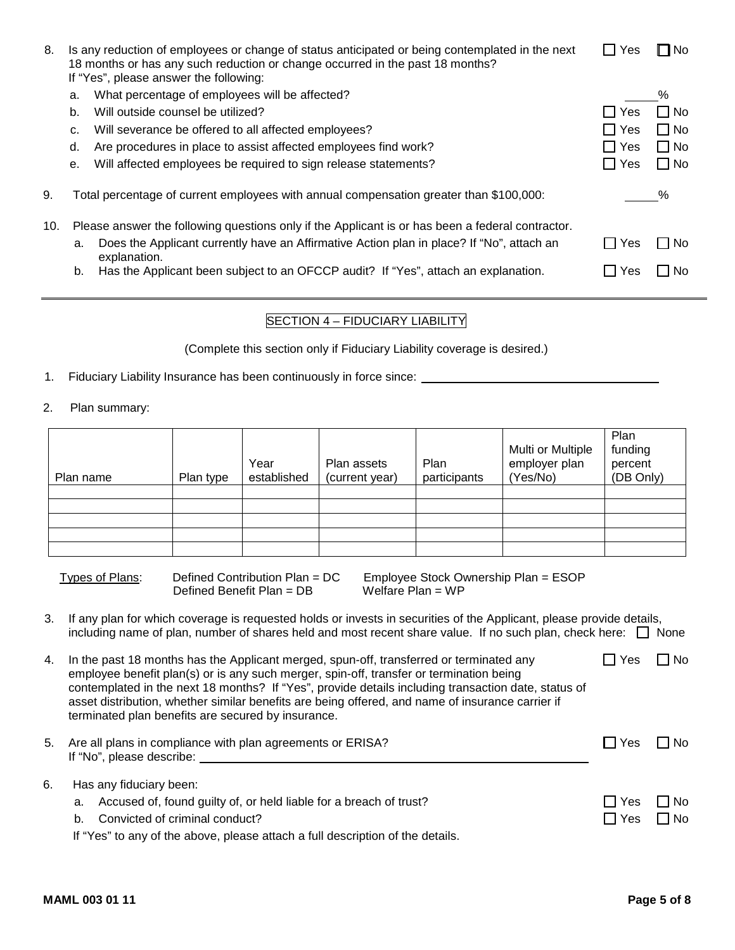| 8.  |    | Is any reduction of employees or change of status anticipated or being contemplated in the next<br>18 months or has any such reduction or change occurred in the past 18 months?<br>If "Yes", please answer the following: | l I Yes             | l⊟No      |
|-----|----|----------------------------------------------------------------------------------------------------------------------------------------------------------------------------------------------------------------------------|---------------------|-----------|
|     | a. | What percentage of employees will be affected?                                                                                                                                                                             |                     | %         |
|     | b. | Will outside counsel be utilized?                                                                                                                                                                                          | <b>Yes</b>          | ∣ I No    |
|     | c. | Will severance be offered to all affected employees?                                                                                                                                                                       | $\Box$ Yes          | $\Box$ No |
|     | d. | Are procedures in place to assist affected employees find work?                                                                                                                                                            | $\Box$ Yes          | $\Box$ No |
|     | е. | Will affected employees be required to sign release statements?                                                                                                                                                            | l IYes              | $\Box$ No |
| 9.  |    | Total percentage of current employees with annual compensation greater than \$100,000:                                                                                                                                     |                     | %         |
| 10. |    | Please answer the following questions only if the Applicant is or has been a federal contractor.                                                                                                                           |                     |           |
|     | a. | Does the Applicant currently have an Affirmative Action plan in place? If "No", attach an<br>explanation.                                                                                                                  | Yes                 | No.       |
|     | b. | Has the Applicant been subject to an OFCCP audit? If "Yes", attach an explanation.                                                                                                                                         | $\mathop{\Box}$ Yes | No.       |
|     |    |                                                                                                                                                                                                                            |                     |           |

## SECTION 4 – FIDUCIARY LIABILITY

(Complete this section only if Fiduciary Liability coverage is desired.)

- 1. Fiduciary Liability Insurance has been continuously in force since:
- 2. Plan summary:

| Plan name | Plan type | Year<br>established | Plan assets<br>(current year) | Plan<br>participants | Multi or Multiple<br>employer plan<br>(Yes/No) | Plan<br>funding<br>percent<br>(DB Only) |
|-----------|-----------|---------------------|-------------------------------|----------------------|------------------------------------------------|-----------------------------------------|
|           |           |                     |                               |                      |                                                |                                         |
|           |           |                     |                               |                      |                                                |                                         |
|           |           |                     |                               |                      |                                                |                                         |
|           |           |                     |                               |                      |                                                |                                         |
|           |           |                     |                               |                      |                                                |                                         |

| Types of Plans: | Defined Contribution Plan = DC | Employee Stock Ownership Plan = ESOP |
|-----------------|--------------------------------|--------------------------------------|
|                 | Defined Benefit Plan = DB      | Welfare Plan = $WP$                  |

- 3. If any plan for which coverage is requested holds or invests in securities of the Applicant, please provide details, including name of plan, number of shares held and most recent share value. If no such plan, check here:  $\Box$  None
- 4. In the past 18 months has the Applicant merged, spun-off, transferred or terminated any employee benefit plan(s) or is any such merger, spin-off, transfer or termination being contemplated in the next 18 months? If "Yes", provide details including transaction date, status of asset distribution, whether similar benefits are being offered, and name of insurance carrier if terminated plan benefits are secured by insurance.  $\Box$  Yes  $\Box$  No

| 5. Are all plans in compliance with plan agreements or ERISA? | ∟l Yes | $\Box$ No |
|---------------------------------------------------------------|--------|-----------|
| If "No", please describe:                                     |        |           |
|                                                               |        |           |

|  | 6. Has any fiduciary been:                                            |                      |  |  |  |
|--|-----------------------------------------------------------------------|----------------------|--|--|--|
|  | a. Accused of, found guilty of, or held liable for a breach of trust? | $\Box$ Yes $\Box$ No |  |  |  |
|  | b. Convicted of criminal conduct?                                     | $\Box$ Yes $\Box$ No |  |  |  |

If "Yes" to any of the above, please attach a full description of the details.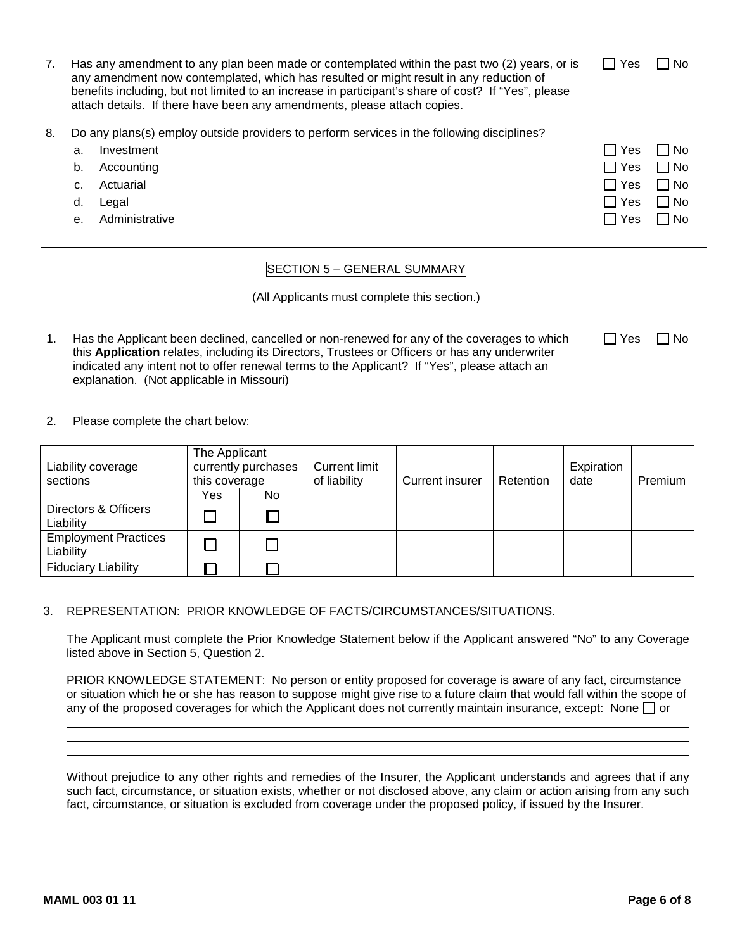| Has any amendment to any plan been made or contemplated within the past two (2) years, or is        |
|-----------------------------------------------------------------------------------------------------|
| any amendment now contemplated, which has resulted or might result in any reduction of              |
| benefits including, but not limited to an increase in participant's share of cost? If "Yes", please |
| attach details. If there have been any amendments, please attach copies.                            |

- 8. Do any plans(s) employ outside providers to perform services in the following disciplines?
	- a. Investment  $\Box$  Yes  $\Box$  No
	- b. Accounting Yes No
	- c. Actuarial Yes No
	- d. Legal Yes No
	- e. Administrative International Control of the Control of the Control of the Control of the Control of the Control of the Control of the Control of the Control of the Control of the Control of the Control of the Control o

# SECTION 5 – GENERAL SUMMARY

(All Applicants must complete this section.)

- 1. Has the Applicant been declined, cancelled or non-renewed for any of the coverages to which this **Application** relates, including its Directors, Trustees or Officers or has any underwriter indicated any intent not to offer renewal terms to the Applicant? If "Yes", please attach an explanation. (Not applicable in Missouri)
- 2. Please complete the chart below:

|                                          | The Applicant       |     |                      |                        |           |            |         |
|------------------------------------------|---------------------|-----|----------------------|------------------------|-----------|------------|---------|
| Liability coverage                       | currently purchases |     | <b>Current limit</b> |                        |           | Expiration |         |
| sections                                 | this coverage       |     | of liability         | <b>Current insurer</b> | Retention | date       | Premium |
|                                          | Yes                 | No. |                      |                        |           |            |         |
| Directors & Officers<br>Liability        |                     |     |                      |                        |           |            |         |
| <b>Employment Practices</b><br>Liability |                     |     |                      |                        |           |            |         |
| <b>Fiduciary Liability</b>               |                     |     |                      |                        |           |            |         |

## 3. REPRESENTATION: PRIOR KNOWLEDGE OF FACTS/CIRCUMSTANCES/SITUATIONS.

The Applicant must complete the Prior Knowledge Statement below if the Applicant answered "No" to any Coverage listed above in Section 5, Question 2.

PRIOR KNOWLEDGE STATEMENT: No person or entity proposed for coverage is aware of any fact, circumstance or situation which he or she has reason to suppose might give rise to a future claim that would fall within the scope of any of the proposed coverages for which the Applicant does not currently maintain insurance, except: None  $\Box$  or

Without prejudice to any other rights and remedies of the Insurer, the Applicant understands and agrees that if any such fact, circumstance, or situation exists, whether or not disclosed above, any claim or action arising from any such fact, circumstance, or situation is excluded from coverage under the proposed policy, if issued by the Insurer.

| Yes | No |
|-----|----|
|     |    |

 $\Box$  Yes  $\Box$  No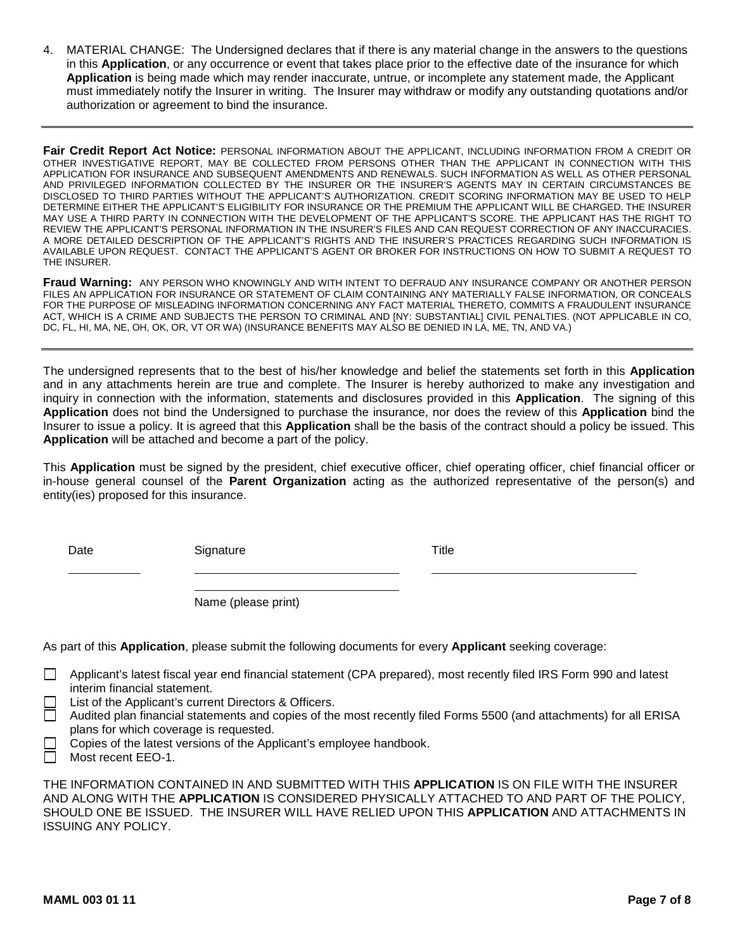4. MATERIAL CHANGE: The Undersigned declares that if there is any material change in the answers to the questions in this **Application**, or any occurrence or event that takes place prior to the effective date of the insurance for which **Application** is being made which may render inaccurate, untrue, or incomplete any statement made, the Applicant must immediately notify the Insurer in writing. The Insurer may withdraw or modify any outstanding quotations and/or authorization or agreement to bind the insurance.

**Fair Credit Report Act Notice:** PERSONAL INFORMATION ABOUT THE APPLICANT, INCLUDING INFORMATION FROM A CREDIT OR OTHER INVESTIGATIVE REPORT, MAY BE COLLECTED FROM PERSONS OTHER THAN THE APPLICANT IN CONNECTION WITH THIS APPLICATION FOR INSURANCE AND SUBSEQUENT AMENDMENTS AND RENEWALS. SUCH INFORMATION AS WELL AS OTHER PERSONAL AND PRIVILEGED INFORMATION COLLECTED BY THE INSURER OR THE INSURER'S AGENTS MAY IN CERTAIN CIRCUMSTANCES BE DISCLOSED TO THIRD PARTIES WITHOUT THE APPLICANT'S AUTHORIZATION. CREDIT SCORING INFORMATION MAY BE USED TO HELP DETERMINE EITHER THE APPLICANT'S ELIGIBILITY FOR INSURANCE OR THE PREMIUM THE APPLICANT WILL BE CHARGED. THE INSURER MAY USE A THIRD PARTY IN CONNECTION WITH THE DEVELOPMENT OF THE APPLICANT'S SCORE. THE APPLICANT HAS THE RIGHT TO REVIEW THE APPLICANT'S PERSONAL INFORMATION IN THE INSURER'S FILES AND CAN REQUEST CORRECTION OF ANY INACCURACIES. A MORE DETAILED DESCRIPTION OF THE APPLICANT'S RIGHTS AND THE INSURER'S PRACTICES REGARDING SUCH INFORMATION IS AVAILABLE UPON REQUEST. CONTACT THE APPLICANT'S AGENT OR BROKER FOR INSTRUCTIONS ON HOW TO SUBMIT A REQUEST TO THE INSURER.

**Fraud Warning:** ANY PERSON WHO KNOWINGLY AND WITH INTENT TO DEFRAUD ANY INSURANCE COMPANY OR ANOTHER PERSON FILES AN APPLICATION FOR INSURANCE OR STATEMENT OF CLAIM CONTAINING ANY MATERIALLY FALSE INFORMATION, OR CONCEALS FOR THE PURPOSE OF MISLEADING INFORMATION CONCERNING ANY FACT MATERIAL THERETO, COMMITS A FRAUDULENT INSURANCE ACT, WHICH IS A CRIME AND SUBJECTS THE PERSON TO CRIMINAL AND [NY: SUBSTANTIAL] CIVIL PENALTIES. (NOT APPLICABLE IN CO, DC, FL, HI, MA, NE, OH, OK, OR, VT OR WA) (INSURANCE BENEFITS MAY ALSO BE DENIED IN LA, ME, TN, AND VA.)

The undersigned represents that to the best of his/her knowledge and belief the statements set forth in this **Application** and in any attachments herein are true and complete. The Insurer is hereby authorized to make any investigation and inquiry in connection with the information, statements and disclosures provided in this **Application**. The signing of this **Application** does not bind the Undersigned to purchase the insurance, nor does the review of this **Application** bind the Insurer to issue a policy. It is agreed that this **Application** shall be the basis of the contract should a policy be issued. This **Application** will be attached and become a part of the policy.

This **Application** must be signed by the president, chief executive officer, chief operating officer, chief financial officer or in-house general counsel of the **Parent Organization** acting as the authorized representative of the person(s) and entity(ies) proposed for this insurance.

Date Signature Signature Title

Name (please print)

As part of this **Application**, please submit the following documents for every **Applicant** seeking coverage:

- Applicant's latest fiscal year end financial statement (CPA prepared), most recently filed IRS Form 990 and latest interim financial statement.
	- List of the Applicant's current Directors & Officers.
	- Audited plan financial statements and copies of the most recently filed Forms 5500 (and attachments) for all ERISA plans for which coverage is requested.
	- Copies of the latest versions of the Applicant's employee handbook.
- Most recent EEO-1.

THE INFORMATION CONTAINED IN AND SUBMITTED WITH THIS **APPLICATION** IS ON FILE WITH THE INSURER AND ALONG WITH THE **APPLICATION** IS CONSIDERED PHYSICALLY ATTACHED TO AND PART OF THE POLICY, SHOULD ONE BE ISSUED. THE INSURER WILL HAVE RELIED UPON THIS **APPLICATION** AND ATTACHMENTS IN ISSUING ANY POLICY.